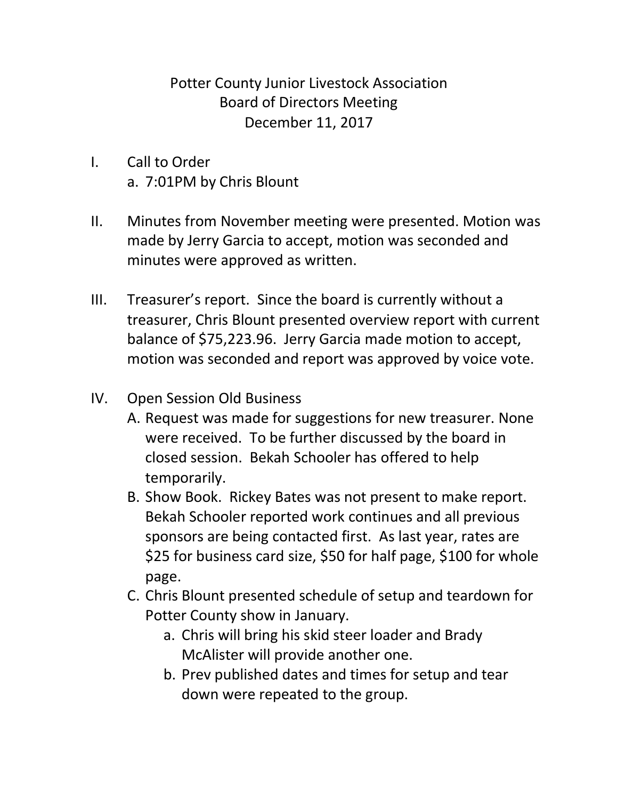Potter County Junior Livestock Association Board of Directors Meeting December 11, 2017

- I. Call to Order a. 7:01PM by Chris Blount
- II. Minutes from November meeting were presented. Motion was made by Jerry Garcia to accept, motion was seconded and minutes were approved as written.
- III. Treasurer's report. Since the board is currently without a treasurer, Chris Blount presented overview report with current balance of \$75,223.96. Jerry Garcia made motion to accept, motion was seconded and report was approved by voice vote.
- IV. Open Session Old Business
	- A. Request was made for suggestions for new treasurer. None were received. To be further discussed by the board in closed session. Bekah Schooler has offered to help temporarily.
	- B. Show Book. Rickey Bates was not present to make report. Bekah Schooler reported work continues and all previous sponsors are being contacted first. As last year, rates are \$25 for business card size, \$50 for half page, \$100 for whole page.
	- C. Chris Blount presented schedule of setup and teardown for Potter County show in January.
		- a. Chris will bring his skid steer loader and Brady McAlister will provide another one.
		- b. Prev published dates and times for setup and tear down were repeated to the group.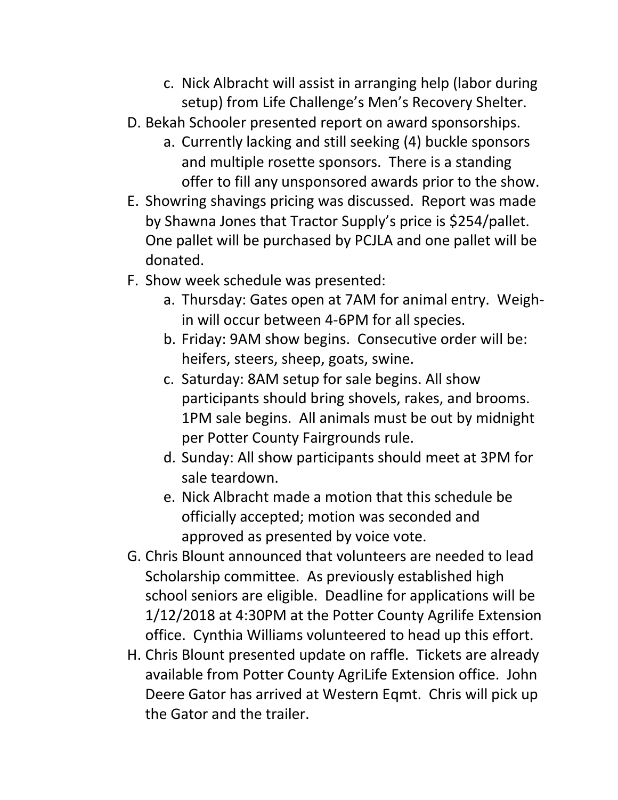- c. Nick Albracht will assist in arranging help (labor during setup) from Life Challenge's Men's Recovery Shelter.
- D. Bekah Schooler presented report on award sponsorships.
	- a. Currently lacking and still seeking (4) buckle sponsors and multiple rosette sponsors. There is a standing offer to fill any unsponsored awards prior to the show.
- E. Showring shavings pricing was discussed. Report was made by Shawna Jones that Tractor Supply's price is \$254/pallet. One pallet will be purchased by PCJLA and one pallet will be donated.
- F. Show week schedule was presented:
	- a. Thursday: Gates open at 7AM for animal entry. Weighin will occur between 4-6PM for all species.
	- b. Friday: 9AM show begins. Consecutive order will be: heifers, steers, sheep, goats, swine.
	- c. Saturday: 8AM setup for sale begins. All show participants should bring shovels, rakes, and brooms. 1PM sale begins. All animals must be out by midnight per Potter County Fairgrounds rule.
	- d. Sunday: All show participants should meet at 3PM for sale teardown.
	- e. Nick Albracht made a motion that this schedule be officially accepted; motion was seconded and approved as presented by voice vote.
- G. Chris Blount announced that volunteers are needed to lead Scholarship committee. As previously established high school seniors are eligible. Deadline for applications will be 1/12/2018 at 4:30PM at the Potter County Agrilife Extension office. Cynthia Williams volunteered to head up this effort.
- H. Chris Blount presented update on raffle. Tickets are already available from Potter County AgriLife Extension office. John Deere Gator has arrived at Western Eqmt. Chris will pick up the Gator and the trailer.